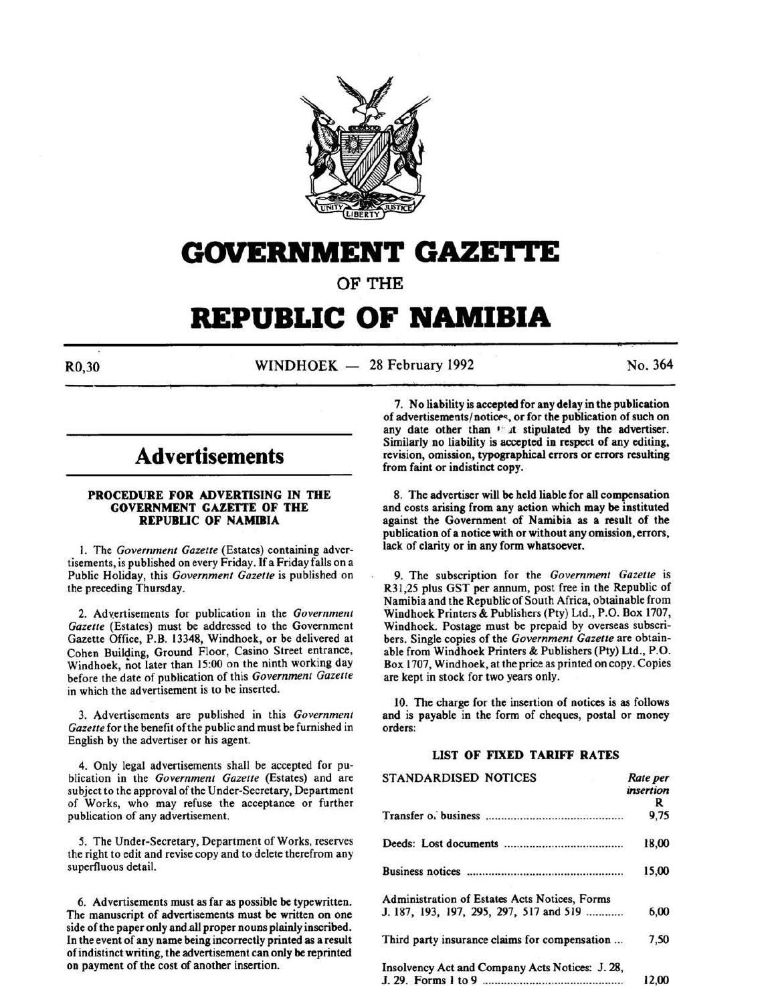

# GOVERNMENT GAZETTE

OF THE

# **REPUBLIC OF NAMIBIA**

 $R0.30$  WINDHOEK - 28 February 1992 No. 364

# **Advertisements**

#### PROCEDURE FOR ADVERTISING IN THE GOVERNMENT GAZETTE OF THE REPUBLIC OF NAMIBIA

I. The *Government Gazette* (Estates) containing advertisements, is published on every Friday. If a Friday falls on a Public Holiday, this *Government Gazette* is published on the preceding Thursday.

2. Advertisements for publication in the *Government Gazette* (Estates) must be addressed to the Government Gazette Office, P.B. 13348, Windhoek, or be delivered at Cohen Building, Ground Floor, Casino Street entrance, Windhoek, not later than 15:00 on the ninth working day before the date of publication of this *Government Gazette*  in which the advertisement is to be inserted.

3. Advertisements are published in this *Government Gazette* for the benefit ofthe public and must be furnished in English by the advertiser or his agent.

4. Only legal advertisements shall be accepted for publication in the *Government Gazette* (Estates) and are subject to the approval of the Under-Secretary, Department of Works, who may refuse the acceptance or further publication of any advertisement.

*5.* The Under-Secretary, Department of Works, reserves the right to edit and revise copy and to delete therefrom any superfluous detail.

6. Advertisements must as far as possible be typewritten. The manuscript of advertisements must be written on one side of the paper only and all proper nouns plainly inscribed. In the event of any name being incorrectly printed as a result of indistinct writing, the advertisement can only be reprinted on payment of the cost of another insertion.

7. No liability is accepted for any delay in the publication of advertisements/notices, or for the publication of such on any date other than  $\cdot$  at stipulated by the advertiser. Similarly no liability is accepted in respect of any editing, revision, omission, typographical errors or errors resulting from faint or indistinct copy.

8. The advertiser will be held liable for all compensation and costs arising from any action which may be instituted against the Government of Namibia as a result of the publication of a notice with or without any omission, errors, lack of clarity or in any form whatsoever.

9. The subscription for the *Government Gazette* is R31,25 plus GST per annum, post free in the Republic of Namibia and the Republic of South Africa, obtainable from Windhoek Printers & Publishers (Pty) Ltd., P.O. Box 1707, Windhoek. Postage must be prepaid by overseas subscribers. Single copies of the *Government Gazette* are obtainable from Windhoek Printers & Publishers (Pty) Ltd., P.O. Box 1707, Windhoek, at the price as printed on copy. Copies are kept in stock for two years only.

10. The charge for the insertion of notices is as follows and is payable in the form of cheques, postal or money orders:

### LIST OF FIXED TARIFF RATES

| <b>STANDARDISED NOTICES</b>                     | Rate per  |
|-------------------------------------------------|-----------|
|                                                 | insertion |
|                                                 | R         |
|                                                 | 9,75      |
|                                                 | 18,00     |
|                                                 | 15,00     |
| Administration of Estates Acts Notices, Forms   |           |
| J. 187, 193, 197, 295, 297, 517 and 519         | 6,00      |
| Third party insurance claims for compensation   | 7,50      |
| Insolvency Act and Company Acts Notices: J. 28, |           |
|                                                 | 12,00     |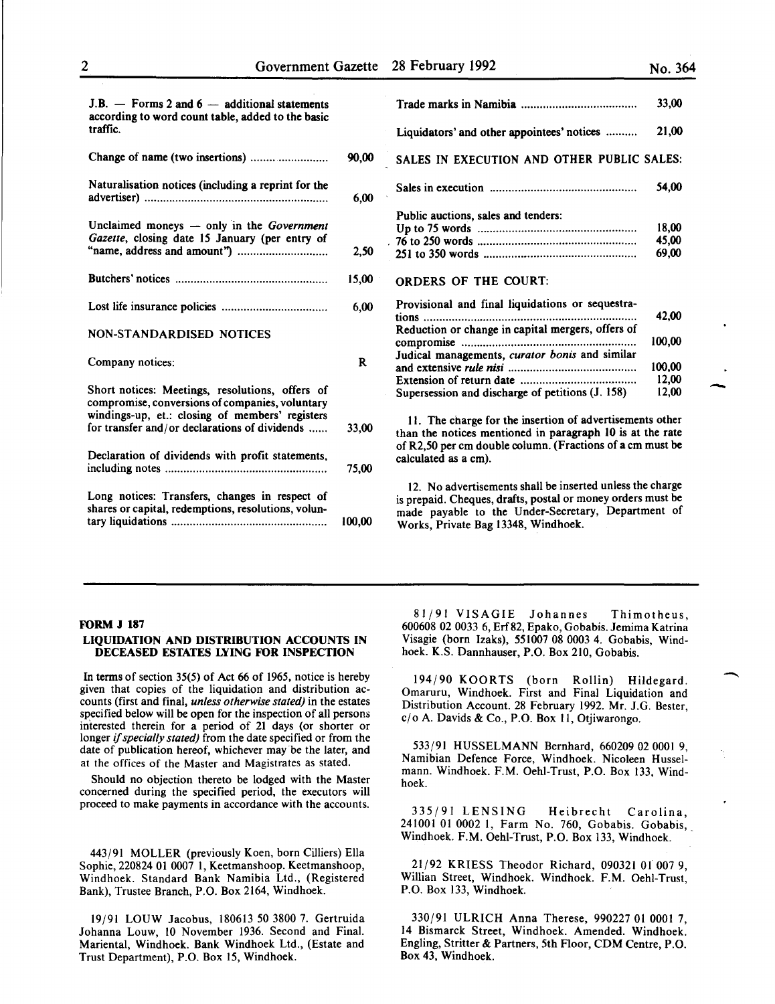-

-

 $J.B. -$  Forms 2 and  $6 -$  additional statements according to word count table, added to the basic traffic.

| Change of name (two insertions)                                                                       | 90,00        | SALES IN EXECUTION AND OTHER PUBLIC                                                                                                      |
|-------------------------------------------------------------------------------------------------------|--------------|------------------------------------------------------------------------------------------------------------------------------------------|
| Naturalisation notices (including a reprint for the                                                   | 6,00         |                                                                                                                                          |
| Unclaimed moneys - only in the Government                                                             |              | Public auctions, sales and tenders:                                                                                                      |
| Gazette, closing date 15 January (per entry of                                                        |              |                                                                                                                                          |
|                                                                                                       | 2,50         |                                                                                                                                          |
|                                                                                                       | 15,00        | <b>ORDERS OF THE COURT:</b>                                                                                                              |
|                                                                                                       | 6,00         | Provisional and final liquidations or sequestra-<br>tions                                                                                |
| NON-STANDARDISED NOTICES                                                                              |              | Reduction or change in capital mergers, offers of                                                                                        |
| Company notices:                                                                                      | $\mathbf{R}$ | Judical managements, curator bonis and similar                                                                                           |
|                                                                                                       |              |                                                                                                                                          |
| Short notices: Meetings, resolutions, offers of<br>compromise, conversions of companies, voluntary    |              | Supersession and discharge of petitions (J. 158)                                                                                         |
| windings-up, et.: closing of members' registers<br>for transfer and/or declarations of dividends      | 33,00        | 11. The charge for the insertion of advertiseme<br>than the notices mentioned in paragraph 10 is at                                      |
| Declaration of dividends with profit statements,                                                      | 75,00        | of R2,50 per cm double column. (Fractions of a cn<br>calculated as a cm).                                                                |
|                                                                                                       |              | 12. No advertisements shall be inserted unless th                                                                                        |
| Long notices: Transfers, changes in respect of<br>shares or capital, redemptions, resolutions, volun- | 100,00       | is prepaid. Cheques, drafts, postal or money order<br>made payable to the Under-Secretary, Depart<br>Works, Private Bag 13348, Windhoek. |

|                                                                                                                | 33,00                   |
|----------------------------------------------------------------------------------------------------------------|-------------------------|
| Liquidators' and other appointees' notices                                                                     | 21,00                   |
| SALES IN EXECUTION AND OTHER PUBLIC SALES:                                                                     |                         |
|                                                                                                                | 54,00                   |
| Public auctions, sales and tenders:                                                                            | 18,00<br>45,00<br>69.00 |
| <b>ORDERS OF THE COURT:</b>                                                                                    |                         |
| Provisional and final liquidations or sequestra-<br>tions<br>Reduction or change in capital mergers, offers of | 42,00                   |
| Judical managements, curator bonis and similar                                                                 | 100,00                  |
|                                                                                                                | 100.00                  |
|                                                                                                                | 12,00                   |
| Supersession and discharge of petitions (J. 158)                                                               | 12,00                   |

11. The charge for the insertion of advertisements other than the notices mentioned in paragraph lO is at the rate of R2,50 per em double column. (Fractions of a em must be calculated as a em).

12. No advertisements shall be inserted unless the charge is prepaid. Cheques, drafts, postal or money orders must be made payable to the Under-Secretary, Department of Works, Private Bag 13348, Windhoek.

#### FORM J 187

#### LIQUIDATION AND DISTRIBUTION ACCOUNTS IN DECEASED ESTATES LYING FOR INSPECTION

In terms of section 35(5) of Act 66 of 1965, notice is hereby given that copies of the liquidation and distribution accounts (first and final, *unless otherwise stated)* in the estates specified below will be open for the inspection of all persons interested therein for a period of 21 days (or shorter or longer if *specially stated)* from the date specified or from the date of publication hereof, whichever may be the later, and at the offices of the Master and Magistrates as stated.

Should no objection thereto be lodged with the Master concerned during the specified period, the executors will proceed to make payments in accordance with the accounts.

443/91 MOLLER (previously Koen, born Cilliers) Ella Sophie, 220824 01 0007 l, Keetmanshoop. Keetmanshoop, Windhoek. Standard Bank Namibia Ltd., (Registered Bank), Trustee Branch, P.O. Box 2164, Windhoek.

19/91 LOUW Jacobus, 180613 50 3800 7. Gertruida Johanna Louw, 10 November 1936. Second and Final. Mariental, Windhoek. Bank Windhoek Ltd., (Estate and Trust Department), P.O. Box 15, Windhoek.

81/91 VISAGIE Johannes Thimotheus, 600608 02 0033 6, Erf82, Epako, Gobabis. Jemima Katrina Visagie (born Izaks), 551007 08 0003 4. Gobabis, Windhoek. K.S. Dannhauser, P.O. Box 210, Gobabis.

194/90 KOORTS (born Rollin) Hildegard. Omaruru, Windhoek. First and Final Liquidation and Distribution Account. 28 February 1992. Mr. J.G. Bester, cjo A. Davids & Co., P.O. Box 11, Otjiwarongo.

533/91 HUSSELMANN Bernhard, 660209 02 0001 9, Namibian Defence Force, Windhoek. Nicoleen Russelmann. Windhoek. F.M. Oehl-Trust, P.O. Box 133, Windhoek.

335/91 LENSING Heibrecht Carolina, 241001 01 0002 I, Farm No. 760, Gobabis. Gobabis, Windhoek. F.M. Oehl-Trust, P.O. Box 133, Windhoek. ·

21/92 KRIESS Theodor Richard, 090321 Ol 007 9, Willian Street, Windhoek. Windhoek. F.M. Oehl-Trust, P.O. Box 133, Windhoek.

330/91 ULRICH Anna Therese, 990227 01 0001 7, 14 Bismarck Street, Windhoek. Amended. Windhoek. Engling, Stritter & Partners, 5th Floor, CDM Centre, P.O. Box 43, Windhoek.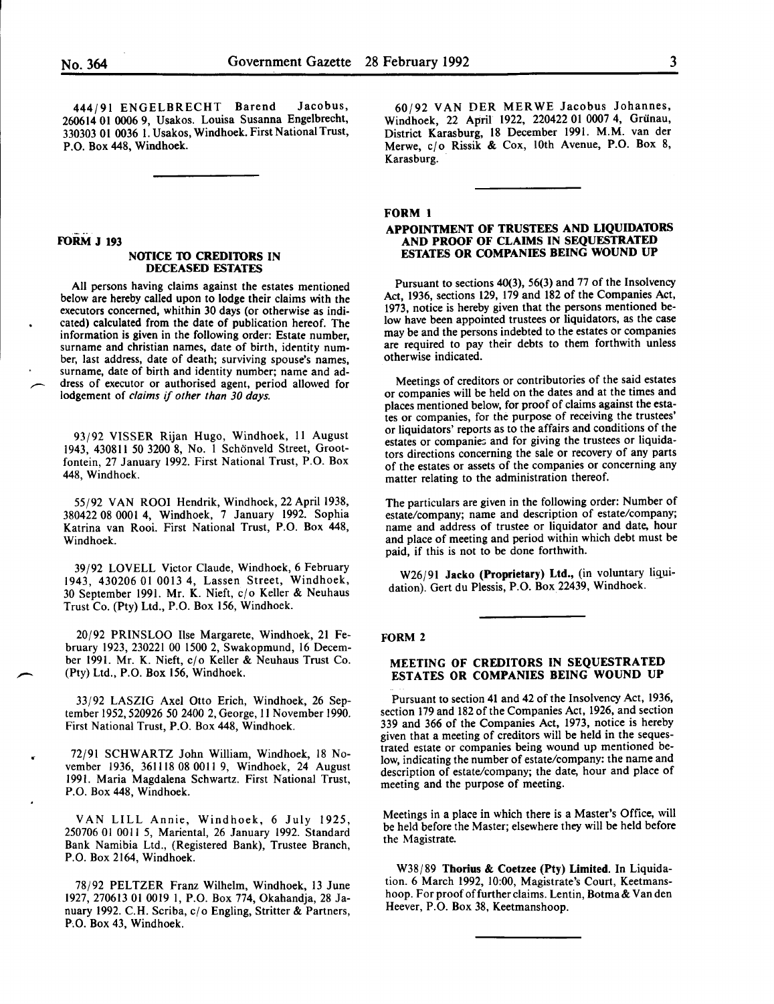444/91 ENGELBRECHT Barend Jacobus, 260614 01 0006 9, Usakos. Louisa Susanna Engelbrecht, 330303 01 0036 I. Usakos, Windhoek. First National Trust, P.O. Box 448, Windhoek.

# FORM J 193

#### NOTICE TO CREDITORS IN DECEASED ESTATES

All persons having claims against the estates mentioned below are hereby called upon to lodge their claims with the executors concerned, whithin 30 days (or otherwise as indicated) calculated from the date of publication hereof. The information is given in the following order: Estate number, surname and christian names, date of birth, identity number, last address, date of death; surviving spouse's names, surname, date of birth and identity number; name and ad dress of executor or authorised agent, period allowed for lodgement of *claims* if *other than 30 days.* 

93/92 VISSER Rijan Hugo, Windhoek, 11 August 1943, 430811 50 3200 8, No. I Schonveld Street, Grootfontein, 27 January 1992. First National Trust, P.O. Box 448, Windhoek.

55/92 VAN ROOI Hendrik, Windhoek, 22 April 1938, 380422 08 0001 4, Windhoek, 7 January 1992. Sophia Katrina van Rooi. First National Trust, P.O. Box 448, Windhoek.

39/92 LOVELL Victor Claude, Windhoek, 6 February 1943, 430206 01 0013 4, Lassen Street, Windhoek, 30 September 1991. Mr. K. Nieft, c/o Keller & Neuhaus Trust Co. (Pty) Ltd., P.O. Box 156, Windhoek.

20/92 PRINSLOO lise Margarete, Windhoek, 21 February 1923, 230221 00 1500 2, Swakopmund, 16 December 1991. Mr. K. Nieft, c/o Keller & Neuhaus Trust Co. (Pty) Ltd., P.O. Box 156, Windhoek.

33/92 LASZIG Axel Otto Erich, Windhoek, 26 September 1952,520926 50 2400 2, George, II November 1990. First National Trust, P.O. Box 448, Windhoek.

72/91 SCHWARTZ John William, Windhoek, 18 November 1936, 361118 08 0011 9, Windhoek, 24 August 1991. Maria Magdalena Schwartz. First National Trust, P.O. Box 448, Windhoek.

VAN LILL Annie, Windhoek, 6 July 1925, 250706 01 0011 *5,* Mariental, 26 January 1992. Standard Bank Namibia Ltd., (Registered Bank), Trustee Branch, P.O. Box 2164, Windhoek.

78/92 PELTZER Franz Wilhelm, Windhoek, 13 June 1927, 270613 01 0019 I, P.O. Box 774, Okahandja, 28 January 1992. C.H. Scriba,  $c/\sigma$  Engling, Stritter & Partners, P.O. Box 43, Windhoek.

60/92 VANDER MERWE Jacobus Johannes, Windhoek, 22 April 1922, 220422 01 0007 4, Griinau, District Karasburg, 18 December 1991. M.M. van der Merwe, c/o Rissik & Cox, 10th Avenue, P.O. Box 8, Karasburg.

#### FORM 1

#### APPOINTMENT OF TRUSTEES AND LIQUIDA10RS AND PROOF OF CLAIMS IN SEQUESTRATED ESTATES OR COMPANIES BEING WOUND UP

Pursuant to sections 40(3), 56(3) and 77 of the Insolvency Act, 1936, sections 129, 179 and 182 of the Companies Act, 1973, notice is hereby given that the persons mentioned below have been appointed trustees or liquidators, as the case may be and the persons indebted to the estates or companies are required to pay their debts to them forthwith unless otherwise indicated.

Meetings of creditors or contributories of the said estates or companies will be held on the dates and at the times and places mentioned below, for proof of claims against the estates or companies, for the purpose of receiving the trustees' or liquidators' reports as to the affairs and conditions of the estates or companies and for giving the trustees or liquidators directions concerning the sale or recovery of any parts of the estates or assets of the companies or concerning any matter relating to the administration thereof.

The particulars are given in the following order: Number of estate/company; name and description of estate/company; name and address of trustee or liquidator and date, hour and place of meeting and period within which debt must be paid, if this is not to be done forthwith.

W26/91 Jacko (Proprietary) Ltd., (in voluntary liquidation). Gert du Plessis, P.O. Box 22439, Windhoek.

#### FORM 2

#### MEETING OF CREDITORS IN SEQUESTRATED ESTATES OR COMPANIES BEING WOUND UP

Pursuant to section 41 and 42 of the Insolvency Act, 1936, section 179 and 182 of the Companies Act, 1926, and section 339 and 366 of the Companies Act, 1973, notice is hereby given that a meeting of creditors will be held in the sequestrated estate or companies being wound up mentioned below, indicating the number of estate/company: the name and description of estate/company; the date, hour and place of meeting and the purpose of meeting.

Meetings in a place in which there is a Master's Office, will be held before the Master; elsewhere they will be held before the Magistrate.

W38/89 Thorius & Coetzee (Pty) Limited. In Liquidation. 6 March 1992, 10:00, Magistrate's Court, Keetmanshoop. For proof of further claims. Lentin, Botma & Van den Heever, P.O. Box 38, Keetmanshoop.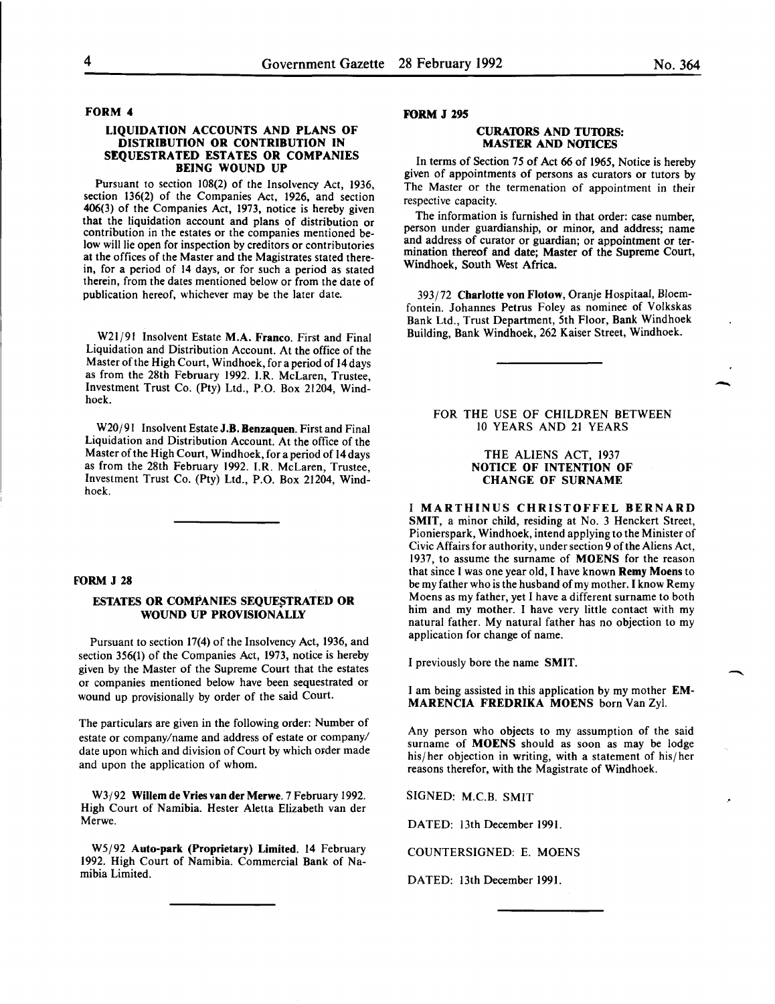#### FORM 4

#### LIQUIDATION ACCOUNTS AND PLANS OF DISTRIBUTION OR CONTRIBUTION IN SEQUESTRATED ESTATES OR COMPANIES BEING WOUND UP

Pursuant to section 108(2) of the Insolvency Act, 1936, section 136(2) of the Companies Act, 1926, and section 406(3) of the Companies Act, 1973, notice is hereby given contribution in the estates or the companies mentioned below will lie open for inspection by creditors or contributories at the offices of the Master and the Magistrates stated therein, for a period of 14 days, or for such a period as stated therein, from the dates mentioned below or from the date of publication hereof, whichever may be the later date.

W21/91 Insolvent Estate M.A. Franco. First and Final Liquidation and Distribution Account. At the office of the Master of the High Court, Windhoek, for a period of 14 days as from the 28th February 1992. I.R. McLaren, Trustee, Investment Trust Co. (Pty) Ltd., P.O. Box 21204, Windhoek.

W20/91 Insolvent Estate J.B. Benzaquen. First and Final Liquidation and Distribution Account. At the office of the Master of the High Court, Windhoek, for a period of 14 days as from the 28th February 1992. I.R. McLaren, Trustee, Investment Trust Co. (Pty) Ltd., P.O. Box 21204, Windhoek.

#### FORM J 28

#### ESTATES OR COMPANIES SEQUESTRATED OR WOUND UP PROVISIONALLY

Pursuant to section 17(4) of the Insolvency Act, 1936, and section 356(1) of the Companies Act, 1973, notice is hereby given by the Master of the Supreme Court that the estates or companies mentioned below have been sequestrated or wound up provisionally by order of the said Court.

The particulars are given in the following order: Number of estate or company/name and address of estate or company/ date upon which and division of Court by which order made and upon the application of whom.

W3j92 Willem de Vries van der Merwe. 7 February 1992. High Court of Namibia. Hester Aletta Elizabeth van der Merwe.

W5j92 Auto-park (Proprietary) Limited. 14 February 1992. High Court of Namibia. Commercial Bank of Namibia Limited.

#### FORM J 295

#### CURATORS AND TUTORS: MASTER AND NOTICES

In terms of Section 75 of Act 66 of 1965, Notice is hereby given of appointments of persons as curators or tutors by The Master or the termenation of appointment in their respective capacity.

The information is furnished in that order: case number, person under guardianship, or minor, and address; name and address of curator or guardian; or appointment or termination thereof and date; Master of the Supreme Court, Windhoek, South West Africa.

393/72 Charlotte von Flotow, Oranje Hospitaal, Bloemfontein. Johannes Petrus Foley as nominee of Volkskas Bank Ltd., Trust Department, 5th Floor, Bank Windhoek Building, Bank Windhoek, 262 Kaiser Street, Windhoek.

#### FOR THE USE OF CHILDREN BETWEEN 10 YEARS AND 21 YEARS

#### THE ALIENS ACT, 1937 NOTICE OF INTENTION OF CHANGE OF SURNAME

I MARTHINUS CHRISTOFFEL BERNARD SMIT, a minor child, residing at No. 3 Henckert Street, Pionierspark, Windhoek, intend applying to the Minister of Civic Affairs for authority, under section 9 of the Aliens Act, 1937, to assume the surname of MOENS for the reason that since I was one year old, I have known Remy Moens to be my father who is the husband of my mother. I know Remy Moens as my father, yet I have a different surname to both him and my mother. I have very little contact with my natural father. My natural father has no objection to my application for change of name.

I previously bore the name SMIT.

I am being assisted in this application by my mother EM-MARENCIA FREDRIKA MOENS born Van Zyl.

Any person who objects to my assumption of the said surname of MOENS should as soon as may be lodge his/her objection in writing, with a statement of his/her reasons therefor, with the Magistrate of Windhoek.

SIGNED: M.C.B. SMIT

DATED: 13th December 1991.

COUNTERSIGNED: E. MOENS

DATED: 13th December 1991.

**-**

-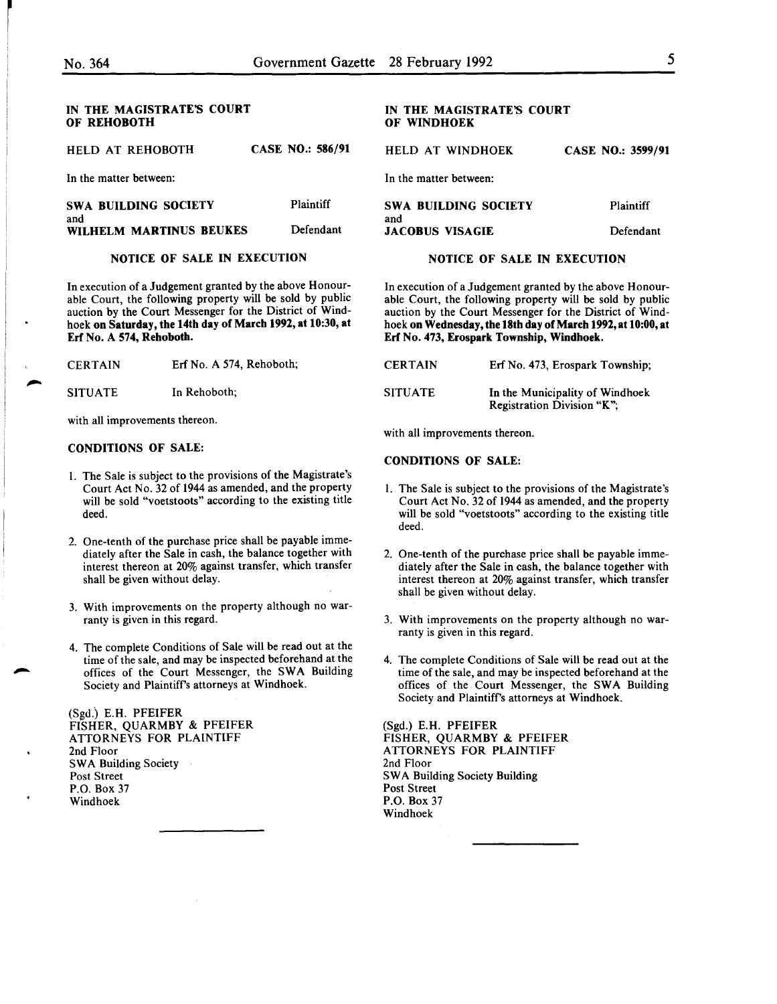r

#### IN THE MAGISTRATE'S COURT OF REHOBOTH

| HELD AT REHOBOTH               | <b>CASE NO.: 586/91</b> |
|--------------------------------|-------------------------|
| In the matter between:         |                         |
| SWA BUILDING SOCIETY           | Plaintiff               |
| and<br>WILHELM MARTINUS BEUKES | Defendant               |

# NOTICE OF SALE IN EXECUTION

In execution of a Judgement granted by the above Honourable Court, the following property will be sold by public auction by the Court Messenger for the District of Windhoek on Saturday, the 14th day of March 1992, at 10:30, at Erf No. A 574, Rehoboth.

| <b>CERTAIN</b> | Erf No. A 574, Rehoboth; |
|----------------|--------------------------|
| <b>SITUATE</b> | In Rehoboth;             |

with all improvements thereon.

#### CONDITIONS OF SALE:

- I. The Sale is subject to the provisions of the Magistrate's Court Act No. 32 of 1944 as amended, and the property will be sold "voetstoots" according to the existing title deed.
- 2. One-tenth of the purchase price shall be payable immediately after the Sale in cash, the balance together with interest thereon at 20% against transfer, which transfer shall be given without delay.
- 3. With improvements on the property although no warranty is given in this regard.
- 4. The complete Conditions of Sale will be read out at the time of the sale, and may be inspected beforehand at the offices of the Court Messenger, the SWA Building Society and Plaintiffs attorneys at Windhoek.

(Sgd.) E.H. PFEIFER FISHER, QUARMBY & PFEIFER ATTORNEYS FOR PLAINTIFF 2nd Floor SWA Building Society Post Street P.O. Box 37 Windhoek

#### IN THE MAGISTRATE'S COURT OF WINDHOEK

HELD AT WINDHOEK CASE NO.: 3599/91

In the matter between:

| SWA BUILDING SOCIETY   | <b>Plaintiff</b> |
|------------------------|------------------|
| and                    |                  |
| <b>JACOBUS VISAGIE</b> | Defendant        |

#### NOTICE OF SALE IN EXECUTION

In execution of a Judgement granted by the above Honourable Court, the following property will be sold by public auction by the Court Messenger for the District of Windhoek on Wednesday, the 18th day of March 1992, at 10:00, at Erf No. 473, Erospark Township, Windhoek.

| <b>CERTAIN</b> | Erf No. 473, Erospark Township;                               |
|----------------|---------------------------------------------------------------|
| <b>SITUATE</b> | In the Municipality of Windhoek<br>Registration Division "K"; |

with all improvements thereon.

#### CONDITIONS OF SALE:

- I. The Sale is subject to the provisions of the Magistrate's Court Act No. 32 of 1944 as amended, and the property will be sold "voetstoots" according to the existing title deed.
- 2. One-tenth of the purchase price shall be payable immediately after the Sale in cash, the balance together with interest thereon at 20% against transfer, which transfer shall be given without delay.
- 3. With improvements on the property although no warranty is given in this regard.
- 4. The complete Conditions of Sale will be read out at the time of the sale, and may be inspected beforehand at the offices of the Court Messenger, the SWA Building Society and Plaintiffs attorneys at Windhoek.

(Sgd.) E.H. PFEIFER FISHER, QUARMBY & PFEIFER ATTORNEYS FOR PLAINTIFF 2nd Floor SWA Building Society Building Post Street P.O. Box 37 Windhoek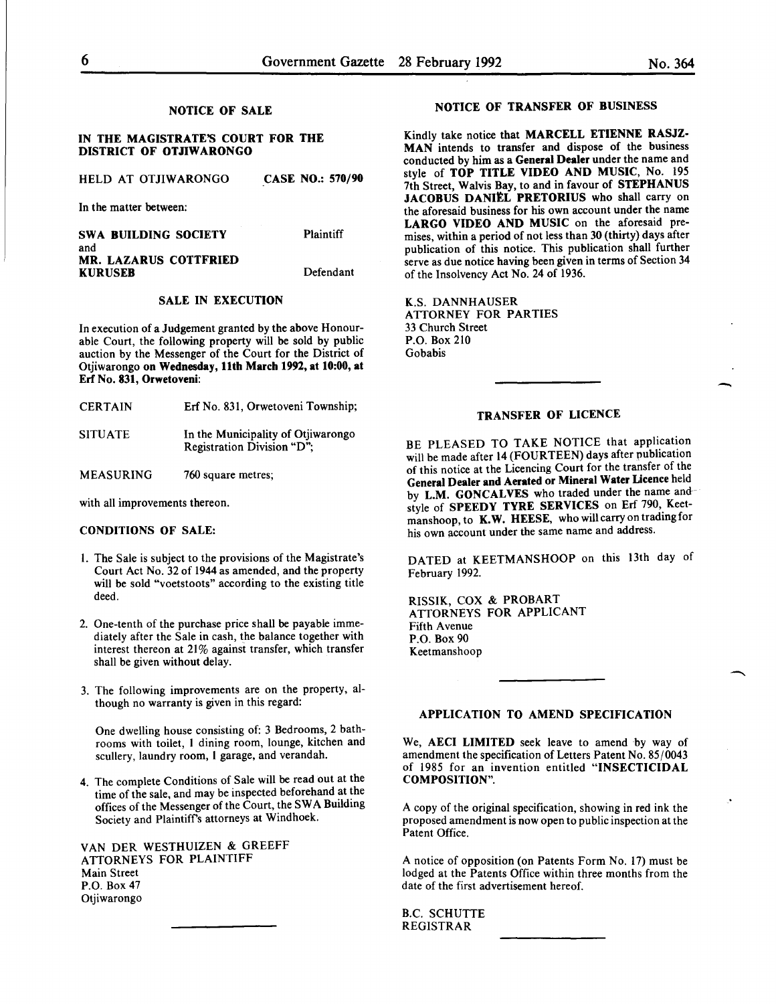-

#### NOTICE OF SALE

#### IN THE MAGISTRATE'S COURT FOR THE DISTRICT OF OTJIWARONGO

HELD AT OTJIWARONGO CASE NO.: 570/90

In the matter between:

| SWA BUILDING SOCIETY  | Plaintiff |
|-----------------------|-----------|
| and                   |           |
| MR. LAZARUS COTTFRIED |           |
| <b>KURUSEB</b>        | Defendant |

#### SALE IN EXECUTION

In execution of a Judgement granted by the above Honourable Court, the following property will be sold by public auction by the Messenger of the Court for the District of Otjiwarongo on Wednesday, 11th March 1992, at 10:00, at Erf No. 831, Orwetoveni:

| <b>CERTAIN</b> | Erf No. 831, Orwetoveni Township;                                |
|----------------|------------------------------------------------------------------|
| <b>SITUATE</b> | In the Municipality of Otjiwarongo<br>Registration Division "D"; |

MEASURING 760 square metres;

with all improvements thereon.

#### CONDITIONS OF SALE:

- I. The Sale is subject to the provisions of the Magistrate's Court Act No. 32 of 1944 as amended, and the property will be sold "voetstoots" according to the existing title deed.
- 2. One-tenth of the purchase price shall be payable immediately after the Sale in cash, the balance together with interest thereon at 21% against transfer, which transfer shall be given without delay.
- 3. The following improvements are on the property, although no warranty is given in this regard:

One dwelling house consisting of: 3 Bedrooms, 2 bathrooms with toilet, l dining room, lounge, kitchen and scullery, laundry room, l garage, and verandah.

4. The complete Conditions of Sale will be read out at the time of the sale, and may be inspected beforehand at the offices of the Messenger of the Court, the SW A Building Society and Plaintiffs attorneys at Windhoek.

VANDER WESTHUIZEN & GREEFF ATTORNEYS FOR PLAINTIFF Main Street P.O. Box 47 Otjiwarongo

### NOTICE OF TRANSFER OF BUSINESS

Kindly take notice that MARCELL ETIENNE RASJZ-MAN intends to transfer and dispose of the business conducted by him as a General Dealer under the name and style of TOP TITLE VIDEO AND MUSIC, No. 195 7th Street, Walvis Bay, to and in favour of STEPHANUS JACOBUS DANIEL PRETORIUS who shall carry on the aforesaid business for his own account under the name LARGO VIDEO AND MUSIC on the aforesaid premises, within a period of not less than 30 (thirty) days after publication of this notice. This publication shall further serve as due notice having been given in terms of Section 34 of the Insolvency Act No. 24 of 1936.

K.S. DANNHAUSER ATTORNEY FOR PARTIES 33 Church Street P.O. Box 210 Gobabis

#### TRANSFER OF LICENCE

BE PLEASED TO TAKE NOTICE that application will be made after 14 (FOURTEEN) days after publication of this notice at the Licencing Court for the transfer of the General Dealer and Aerated or Mineral Water Licence held by L.M. GONCALVES who traded under the name andstyle of SPEEDY TYRE SERVICES on Erf 790, Keetmanshoop, to K.W. HEESE, who will carryon trading for his own account under the same name and address.

DATED at KEETMANSHOOP on this 13th day of February 1992.

RISSIK, COX & PROBART ATTORNEYS FOR APPLICANT Fifth Avenue P.O. Box 90 Keetmanshoop

# APPLICATION TO AMEND SPECIFICATION

We, AECI LIMITED seek leave to amend by way of amendment the specification of Letters Patent No.  $85/0043$ of 1985 for an invention entitled "INSECTICIDAL COMPOSITION".

A copy of the original specification, showing in red ink the proposed amendment is now open to public inspection at the Patent Office.

A notice of opposition (on Patents Form No. 17) must be lodged at the Patents Office within three months from the date of the first advertisement hereof.

B.C. SCHUTTE REGISTRAR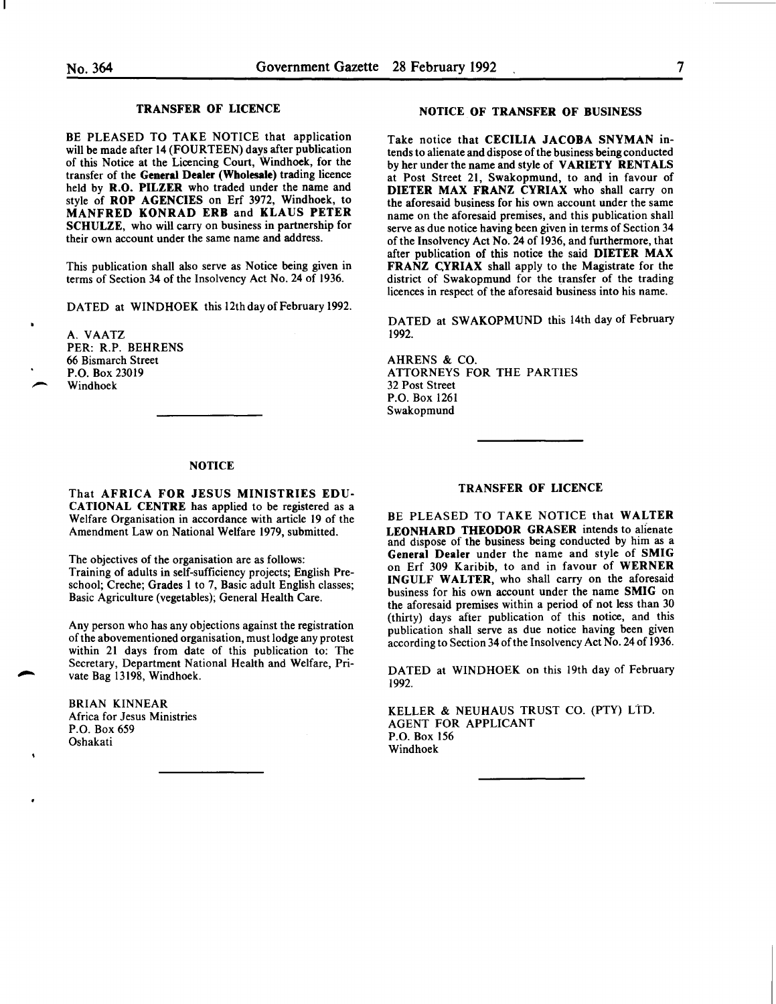#### TRANSFER OF LICENCE

BE PLEASED TO TAKE NOTICE that application will be made after 14 (FOURTEEN) days after publication of this Notice at the Licencing Court, Windhoek, for the transfer of the General Dealer (Wholesale) trading licence held by R.O. PILZER who traded under the name and style of ROP AGENCIES on Erf 3972, Windhoek, to MANFRED KONRAD ERB and KLAUS PETER SCHULZE, who will carry on business in partnership for their own account under the same name and address.

This publication shall also serve as Notice being given in terms of Section 34 of the Insolvency Act No. 24 of 1936.

DATED at WINDHOEK this 12th day of February 1992.

A. VAATZ PER: R.P. BEHRENS 66 Bismarch Street P.O. Box 23019 Windhoek

#### NOTICE

That AFRICA FOR JESUS MINISTRIES EDU-CATIONAL CENTRE has applied to be registered as a Welfare Organisation in accordance with article 19 of the Amendment Law on National Welfare 1979, submitted.

The objectives of the organisation are as follows: Training of adults in self-sufficiency projects; English Preschool; Creche; Grades I to 7, Basic adult English classes; Basic Agriculture (vegetables); General Health Care.

Any person who has any objections against the registration of the abovementioned organisation, must lodge any protest within 21 days from date of this publication to: The Secretary, Department National Health and Welfare, Private Bag 13198, Windhoek.

BRIAN KINNEAR Africa for Jesus Ministries P.O. Box 659 Oshakati

#### NOTICE OF TRANSFER OF BUSINESS

Take notice that CECILIA JACOBA SNYMAN intends to alienate and dispose of the business being conducted by her under the name and style of VARIETY RENTALS at Post Street 21, Swakopmund, to and in favour of DIETER MAX FRANZ CYRIAX who shall carry on the aforesaid business for his own account under the same name on the aforesaid premises, and this publication shall serve as due notice having been given in terms of Section 34 of the Insolvency Act No. 24 of 1936, and furthermore, that after publication of this notice the said DIETER MAX FRANZ CYRIAX shall apply to the Magistrate for the district of Swakopmund for the transfer of the trading licences in respect of the aforesaid business into his name.

DATED at SWAKOPMUND this 14th day of February 1992.

AHRENS & CO. ATTORNEYS FOR THE PARTIES 32 Post Street P.O. Box 1261 Swakopmund

#### TRANSFER OF LICENCE

BE PLEASED TO TAKE NOTICE that WALTER LEONHARD THEODOR GRASER intends to alienate and dispose of the business being conducted by him as a General Dealer under the name and style of SMIG on Erf 309 Karibib, to and in favour of WERNER INGULF WALTER, who shall carry on the aforesaid business for his own account under the name SMIG on the aforesaid premises within a period of not less than 30 (thirty) days after publication of this notice, and this publication shall serve as due notice having been given according to Section 34ofthe Insolvency Act No. 24 of 1936.

DATED at WINDHOEK on this 19th day of February 1992.

KELLER & NEUHAUS TRUST CO. (PTY) LtD. AGENT FOR APPLICANT P.O. Box 156 Windhoek